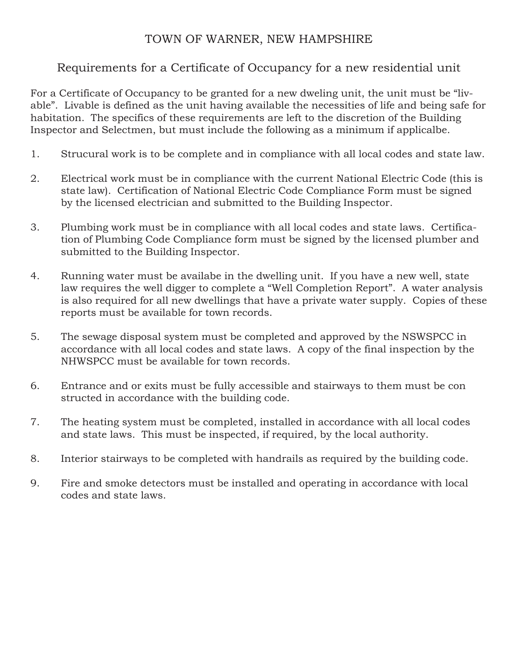# TOWN OF WARNER, NEW HAMPSHIRE

# Requirements for a Certificate of Occupancy for a new residential unit

For a Certificate of Occupancy to be granted for a new dweling unit, the unit must be "livable". Livable is defined as the unit having available the necessities of life and being safe for habitation. The specifics of these requirements are left to the discretion of the Building Inspector and Selectmen, but must include the following as a minimum if applicalbe.

- 1. Strucural work is to be complete and in compliance with all local codes and state law.
- 2. Electrical work must be in compliance with the current National Electric Code (this is state law). Certification of National Electric Code Compliance Form must be signed by the licensed electrician and submitted to the Building Inspector.
- 3. Plumbing work must be in compliance with all local codes and state laws. Certification of Plumbing Code Compliance form must be signed by the licensed plumber and submitted to the Building Inspector.
- 4. Running water must be availabe in the dwelling unit. If you have a new well, state law requires the well digger to complete a "Well Completion Report". A water analysis is also required for all new dwellings that have a private water supply. Copies of these reports must be available for town records.
- 5. The sewage disposal system must be completed and approved by the NSWSPCC in accordance with all local codes and state laws. A copy of the final inspection by the NHWSPCC must be available for town records.
- 6. Entrance and or exits must be fully accessible and stairways to them must be con structed in accordance with the building code.
- 7. The heating system must be completed, installed in accordance with all local codes and state laws. This must be inspected, if required, by the local authority.
- 8. Interior stairways to be completed with handrails as required by the building code.
- 9. Fire and smoke detectors must be installed and operating in accordance with local codes and state laws.